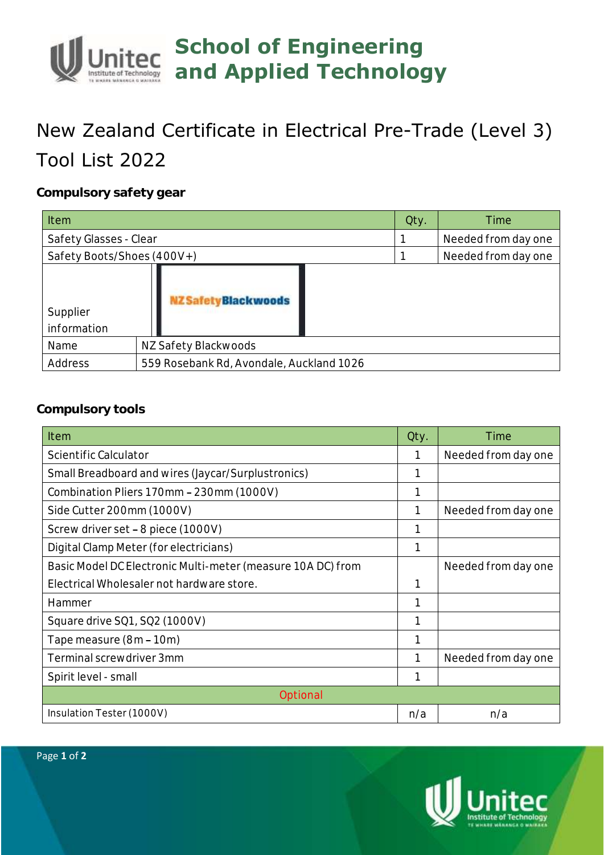## **School of Engineering and Applied Technology**

## New Zealand Certificate in Electrical Pre-Trade (Level 3) Tool List 2022

**Compulsory safety gear**

| Item                       |                                          | Qty. | Time                |
|----------------------------|------------------------------------------|------|---------------------|
| Safety Glasses - Clear     |                                          |      | Needed from day one |
| Safety Boots/Shoes (400V+) |                                          |      | Needed from day one |
| Supplier<br>information    | <b>NZ Safety Black woods</b>             |      |                     |
| Name                       | NZ Safety Blackwoods                     |      |                     |
| Address                    | 559 Rosebank Rd, Avondale, Auckland 1026 |      |                     |

## **Compulsory tools**

| Item                                                        | Qty. | Time                |  |  |
|-------------------------------------------------------------|------|---------------------|--|--|
| Scientific Calculator                                       |      | Needed from day one |  |  |
| Small Breadboard and wires (Jaycar/Surplustronics)          |      |                     |  |  |
| Combination Pliers 170mm - 230mm (1000V)                    |      |                     |  |  |
| Side Cutter 200mm (1000V)                                   |      | Needed from day one |  |  |
| Screw driver set - 8 piece (1000V)                          |      |                     |  |  |
| Digital Clamp Meter (for electricians)                      |      |                     |  |  |
| Basic Model DC Electronic Multi-meter (measure 10A DC) from |      | Needed from day one |  |  |
| Electrical Wholesaler not hardware store.                   |      |                     |  |  |
| Hammer                                                      |      |                     |  |  |
| Square drive SQ1, SQ2 (1000V)                               |      |                     |  |  |
| Tape measure (8m - 10m)                                     |      |                     |  |  |
| Terminal screwdriver 3mm                                    |      | Needed from day one |  |  |
| Spirit level - small                                        |      |                     |  |  |
| Optional                                                    |      |                     |  |  |
| Insulation Tester (1000V)                                   |      | n/a                 |  |  |